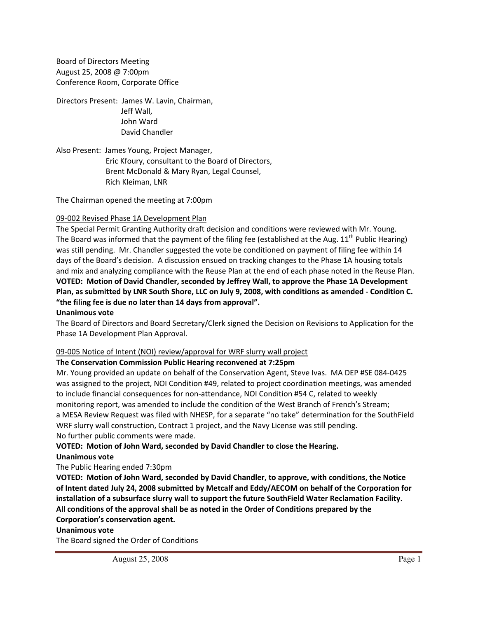Board of Directors Meeting August 25, 2008 @ 7:00pm Conference Room, Corporate Office

Directors Present: James W. Lavin, Chairman, Jeff Wall, John Ward David Chandler

Also Present: James Young, Project Manager, Eric Kfoury, consultant to the Board of Directors, Brent McDonald & Mary Ryan, Legal Counsel, Rich Kleiman, LNR

The Chairman opened the meeting at 7:00pm

## 09‐002 Revised Phase 1A Development Plan

The Special Permit Granting Authority draft decision and conditions were reviewed with Mr. Young. The Board was informed that the payment of the filing fee (established at the Aug.  $11<sup>th</sup>$  Public Hearing) was still pending. Mr. Chandler suggested the vote be conditioned on payment of filing fee within 14 days of the Board's decision. A discussion ensued on tracking changes to the Phase 1A housing totals and mix and analyzing compliance with the Reuse Plan at the end of each phase noted in the Reuse Plan. **VOTED: Motion of David Chandler, seconded by Jeffrey Wall, to approve the Phase 1A Development Plan, as submitted by LNR South Shore, LLC on July 9, 2008, with conditions as amended ‐ Condition C. "the filing fee is due no later than 14 days from approval".**

#### **Unanimous vote**

The Board of Directors and Board Secretary/Clerk signed the Decision on Revisions to Application for the Phase 1A Development Plan Approval.

#### 09-005 Notice of Intent (NOI) review/approval for WRF slurry wall project

## **The Conservation Commission Public Hearing reconvened at 7:25pm**

Mr. Young provided an update on behalf of the Conservation Agent, Steve Ivas. MA DEP #SE 084‐0425 was assigned to the project, NOI Condition #49, related to project coordination meetings, was amended to include financial consequences for non‐attendance, NOI Condition #54 C, related to weekly monitoring report, was amended to include the condition of the West Branch of French's Stream; a MESA Review Request was filed with NHESP, for a separate "no take" determination for the SouthField WRF slurry wall construction, Contract 1 project, and the Navy License was still pending. No further public comments were made.

# **VOTED: Motion of John Ward, seconded by David Chandler to close the Hearing. Unanimous vote**

The Public Hearing ended 7:30pm

**VOTED: Motion of John Ward, seconded by David Chandler, to approve, with conditions, the Notice of Intent dated July 24, 2008 submitted by Metcalf and Eddy/AECOM on behalf of the Corporation for installation of a subsurface slurry wall to support the future SouthField Water Reclamation Facility. All conditions of the approval shall be as noted in the Order of Conditions prepared by the Corporation's conservation agent.**

#### **Unanimous vote**

The Board signed the Order of Conditions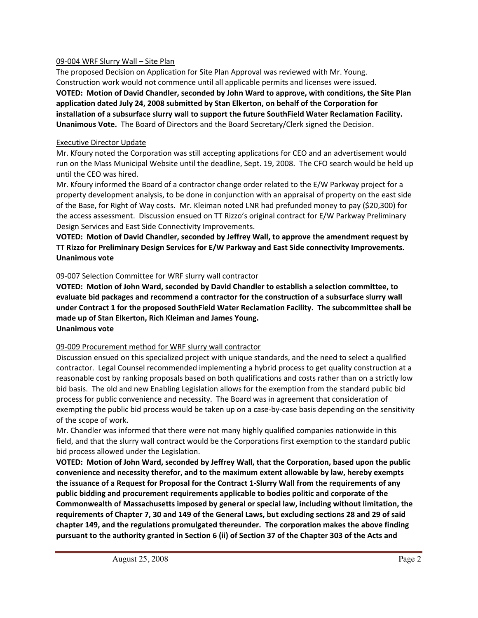#### 09‐004 WRF Slurry Wall – Site Plan

The proposed Decision on Application for Site Plan Approval was reviewed with Mr. Young. Construction work would not commence until all applicable permits and licenses were issued. **VOTED: Motion of David Chandler, seconded by John Ward to approve, with conditions, the Site Plan application dated July 24, 2008 submitted by Stan Elkerton, on behalf of the Corporation for installation of a subsurface slurry wall to support the future SouthField Water Reclamation Facility. Unanimous Vote.** The Board of Directors and the Board Secretary/Clerk signed the Decision.

#### Executive Director Update

Mr. Kfoury noted the Corporation was still accepting applications for CEO and an advertisement would run on the Mass Municipal Website until the deadline, Sept. 19, 2008. The CFO search would be held up until the CEO was hired.

Mr. Kfoury informed the Board of a contractor change order related to the E/W Parkway project for a property development analysis, to be done in conjunction with an appraisal of property on the east side of the Base, for Right of Way costs. Mr. Kleiman noted LNR had prefunded money to pay (\$20,300) for the access assessment. Discussion ensued on TT Rizzo's original contract for E/W Parkway Preliminary Design Services and East Side Connectivity Improvements.

**VOTED: Motion of David Chandler, seconded by Jeffrey Wall, to approve the amendment request by TT Rizzo for Preliminary Design Services for E/W Parkway and East Side connectivity Improvements. Unanimous vote**

#### 09‐007 Selection Committee for WRF slurry wall contractor

**VOTED: Motion of John Ward, seconded by David Chandler to establish a selection committee, to evaluate bid packages and recommend a contractor for the construction of a subsurface slurry wall under Contract 1 for the proposed SouthField Water Reclamation Facility. The subcommittee shall be made up of Stan Elkerton, Rich Kleiman and James Young. Unanimous vote**

# 09‐009 Procurement method for WRF slurry wall contractor

Discussion ensued on this specialized project with unique standards, and the need to select a qualified contractor. Legal Counsel recommended implementing a hybrid process to get quality construction at a reasonable cost by ranking proposals based on both qualifications and costs rather than on a strictly low bid basis. The old and new Enabling Legislation allows for the exemption from the standard public bid process for public convenience and necessity. The Board was in agreement that consideration of exempting the public bid process would be taken up on a case-by-case basis depending on the sensitivity of the scope of work.

Mr. Chandler was informed that there were not many highly qualified companies nationwide in this field, and that the slurry wall contract would be the Corporations first exemption to the standard public bid process allowed under the Legislation.

**VOTED: Motion of John Ward, seconded by Jeffrey Wall, that the Corporation, based upon the public convenience and necessity therefor, and to the maximum extent allowable by law, hereby exempts the issuance of a Request for Proposal for the Contract 1‐Slurry Wall from the requirements of any public bidding and procurement requirements applicable to bodies politic and corporate of the Commonwealth of Massachusetts imposed by general or special law, including without limitation, the requirements of Chapter 7, 30 and 149 of the General Laws, but excluding sections 28 and 29 of said chapter 149, and the regulations promulgated thereunder. The corporation makes the above finding pursuant to the authority granted in Section 6 (ii) of Section 37 of the Chapter 303 of the Acts and**